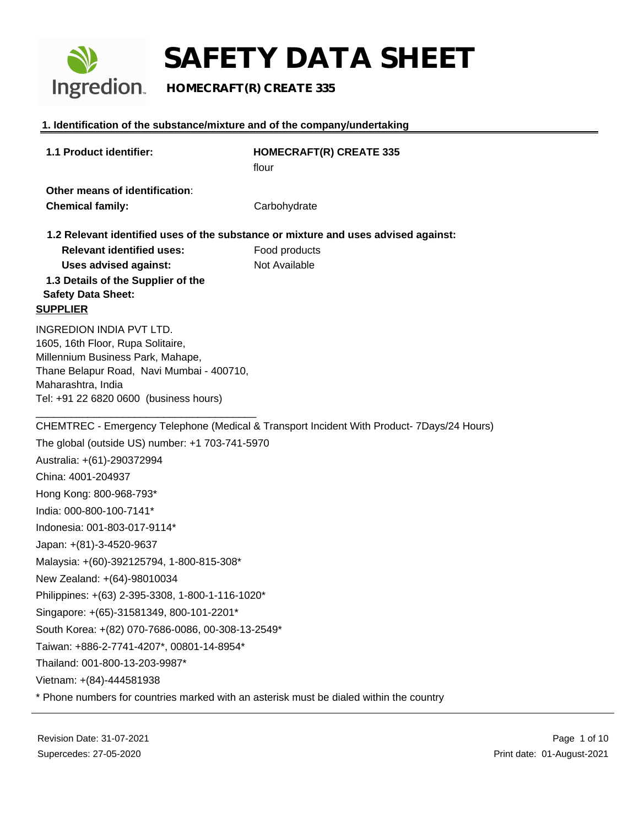

### **HOMECRAFT(R) CREATE 335**

#### **1. Identification of the substance/mixture and of the company/undertaking**

| 1.1 Product identifier:                                                                 | <b>HOMECRAFT(R) CREATE 335</b>                                                             |
|-----------------------------------------------------------------------------------------|--------------------------------------------------------------------------------------------|
|                                                                                         | flour                                                                                      |
| Other means of identification:                                                          |                                                                                            |
| <b>Chemical family:</b>                                                                 | Carbohydrate                                                                               |
|                                                                                         | 1.2 Relevant identified uses of the substance or mixture and uses advised against:         |
| <b>Relevant identified uses:</b>                                                        | Food products                                                                              |
| <b>Uses advised against:</b>                                                            | Not Available                                                                              |
| 1.3 Details of the Supplier of the                                                      |                                                                                            |
| <b>Safety Data Sheet:</b><br><b>SUPPLIER</b>                                            |                                                                                            |
|                                                                                         |                                                                                            |
| INGREDION INDIA PVT LTD.<br>1605, 16th Floor, Rupa Solitaire,                           |                                                                                            |
| Millennium Business Park, Mahape,                                                       |                                                                                            |
| Thane Belapur Road, Navi Mumbai - 400710,                                               |                                                                                            |
| Maharashtra, India                                                                      |                                                                                            |
| Tel: +91 22 6820 0600 (business hours)                                                  |                                                                                            |
|                                                                                         | CHEMTREC - Emergency Telephone (Medical & Transport Incident With Product- 7Days/24 Hours) |
| The global (outside US) number: +1 703-741-5970                                         |                                                                                            |
| Australia: +(61)-290372994                                                              |                                                                                            |
| China: 4001-204937                                                                      |                                                                                            |
| Hong Kong: 800-968-793*                                                                 |                                                                                            |
| India: 000-800-100-7141*                                                                |                                                                                            |
| Indonesia: 001-803-017-9114*                                                            |                                                                                            |
| Japan: +(81)-3-4520-9637                                                                |                                                                                            |
| Malaysia: +(60)-392125794, 1-800-815-308*                                               |                                                                                            |
| New Zealand: +(64)-98010034                                                             |                                                                                            |
| Philippines: +(63) 2-395-3308, 1-800-1-116-1020*                                        |                                                                                            |
| Singapore: +(65)-31581349, 800-101-2201*                                                |                                                                                            |
| South Korea: +(82) 070-7686-0086, 00-308-13-2549*                                       |                                                                                            |
| Taiwan: +886-2-7741-4207*, 00801-14-8954*                                               |                                                                                            |
| Thailand: 001-800-13-203-9987*                                                          |                                                                                            |
| Vietnam: +(84)-444581938                                                                |                                                                                            |
| * Phone numbers for countries marked with an asterisk must be dialed within the country |                                                                                            |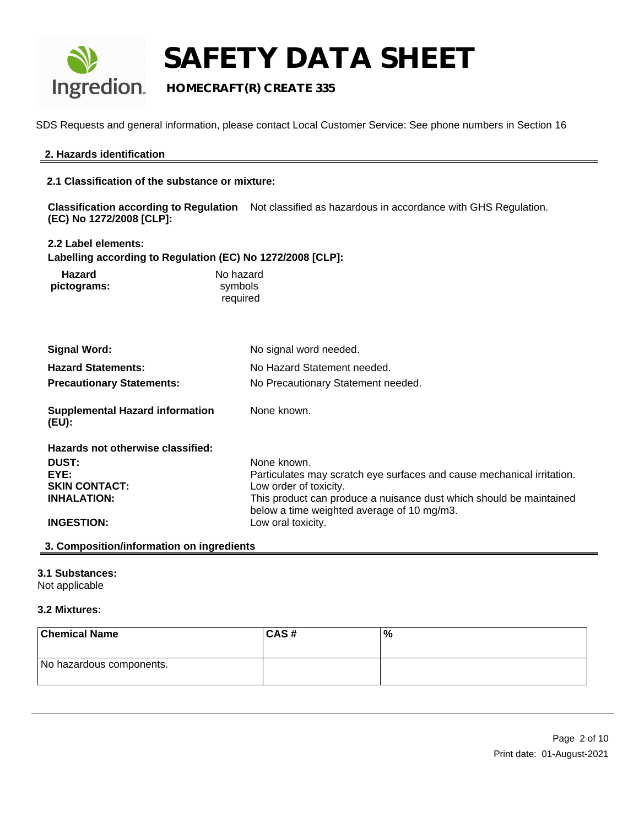

### **HOMECRAFT(R) CREATE 335**

SDS Requests and general information, please contact Local Customer Service: See phone numbers in Section 16

#### **2. Hazards identification**

**2.1 Classification of the substance or mixture:**

**Classification according to Regulation** Not classified as hazardous in accordance with GHS Regulation. **(EC) No 1272/2008 [CLP]:**

#### **2.2 Label elements:**

**Labelling according to Regulation (EC) No 1272/2008 [CLP]:**

| Hazard      | No hazard |
|-------------|-----------|
| pictograms: | symbols   |
|             | required  |

| <b>Signal Word:</b>                             | No signal word needed.                                                                                            |
|-------------------------------------------------|-------------------------------------------------------------------------------------------------------------------|
| <b>Hazard Statements:</b>                       | No Hazard Statement needed.                                                                                       |
| <b>Precautionary Statements:</b>                | No Precautionary Statement needed.                                                                                |
| <b>Supplemental Hazard information</b><br>(EU): | None known.                                                                                                       |
| Hazards not otherwise classified:               |                                                                                                                   |
| <b>DUST:</b>                                    | None known.                                                                                                       |
| EYE:                                            | Particulates may scratch eye surfaces and cause mechanical irritation.                                            |
| <b>SKIN CONTACT:</b>                            | Low order of toxicity.                                                                                            |
| <b>INHALATION:</b>                              | This product can produce a nuisance dust which should be maintained<br>below a time weighted average of 10 mg/m3. |
| <b>INGESTION:</b>                               | Low oral toxicity.                                                                                                |

#### **3. Composition/information on ingredients**

#### **3.1 Substances:**

Not applicable

#### **3.2 Mixtures:**

| <b>Chemical Name</b>     | ∣CAS # | '% |
|--------------------------|--------|----|
| No hazardous components. |        |    |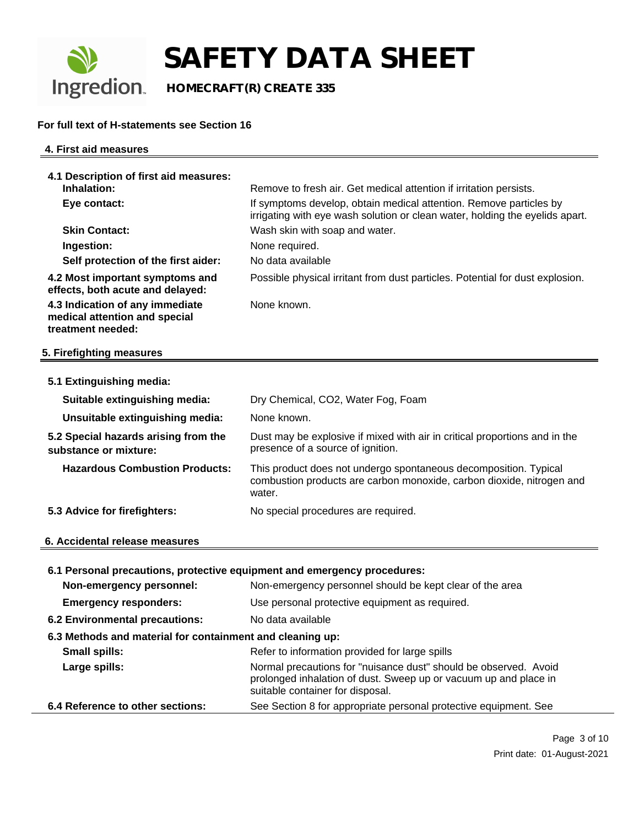

 **HOMECRAFT(R) CREATE 335**

#### **For full text of H-statements see Section 16**

#### **4. First aid measures**

| 4.1 Description of first aid measures:                                                |                                                                                                                                                     |
|---------------------------------------------------------------------------------------|-----------------------------------------------------------------------------------------------------------------------------------------------------|
| Inhalation:                                                                           | Remove to fresh air. Get medical attention if irritation persists.                                                                                  |
| Eye contact:                                                                          | If symptoms develop, obtain medical attention. Remove particles by<br>irrigating with eye wash solution or clean water, holding the eyelids apart.  |
| <b>Skin Contact:</b>                                                                  | Wash skin with soap and water.                                                                                                                      |
| Ingestion:                                                                            | None required.                                                                                                                                      |
| Self protection of the first aider:                                                   | No data available                                                                                                                                   |
| 4.2 Most important symptoms and<br>effects, both acute and delayed:                   | Possible physical irritant from dust particles. Potential for dust explosion.                                                                       |
| 4.3 Indication of any immediate<br>medical attention and special<br>treatment needed: | None known.                                                                                                                                         |
| 5. Firefighting measures                                                              |                                                                                                                                                     |
|                                                                                       |                                                                                                                                                     |
| 5.1 Extinguishing media:                                                              |                                                                                                                                                     |
| Suitable extinguishing media:                                                         | Dry Chemical, CO2, Water Fog, Foam                                                                                                                  |
| Unsuitable extinguishing media:                                                       | None known.                                                                                                                                         |
| 5.2 Special hazards arising from the<br>substance or mixture:                         | Dust may be explosive if mixed with air in critical proportions and in the<br>presence of a source of ignition.                                     |
| <b>Hazardous Combustion Products:</b>                                                 | This product does not undergo spontaneous decomposition. Typical<br>combustion products are carbon monoxide, carbon dioxide, nitrogen and<br>water. |
| 5.3 Advice for firefighters:                                                          | No special procedures are required.                                                                                                                 |
|                                                                                       |                                                                                                                                                     |
| 6. Accidental release measures                                                        |                                                                                                                                                     |
| 6.1 Personal precautions, protective equipment and emergency procedures:              |                                                                                                                                                     |
| Non-emergency personnel:                                                              | Non-emergency personnel should be kept clear of the area                                                                                            |
| <b>Emergency responders:</b>                                                          | Use personal protective equipment as required.                                                                                                      |
| 6.2 Environmental precautions:                                                        | No data available                                                                                                                                   |
| 6.3 Methods and material for containment and cleaning up:                             |                                                                                                                                                     |
| <b>Small spills:</b>                                                                  | Refer to information provided for large spills                                                                                                      |
| Large spills:                                                                         | Normal precautions for "nuisance dust" should be observed. Avoid                                                                                    |
|                                                                                       | prolonged inhalation of dust. Sweep up or vacuum up and place in                                                                                    |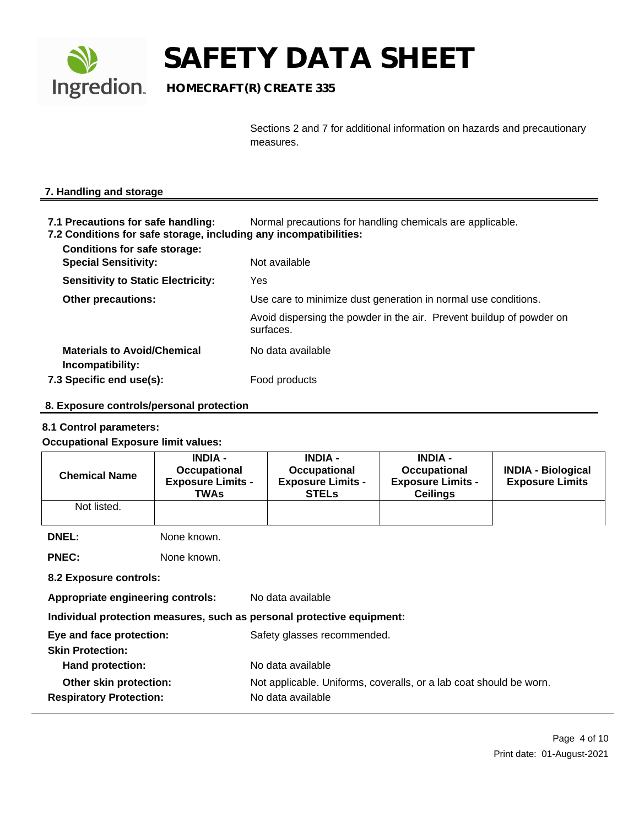

## **Ingredion** HOMECRAFT(R) CREATE 335

Sections 2 and 7 for additional information on hazards and precautionary measures.

#### **7. Handling and storage**

- **7.1 Precautions for safe handling:** Normal precautions for handling chemicals are applicable.
- **7.2 Conditions for safe storage, including any incompatibilities:**

| <b>Conditions for safe storage:</b><br><b>Special Sensitivity:</b> | Not available                                                                     |
|--------------------------------------------------------------------|-----------------------------------------------------------------------------------|
| <b>Sensitivity to Static Electricity:</b>                          | Yes                                                                               |
| <b>Other precautions:</b>                                          | Use care to minimize dust generation in normal use conditions.                    |
|                                                                    | Avoid dispersing the powder in the air. Prevent buildup of powder on<br>surfaces. |
| <b>Materials to Avoid/Chemical</b><br>Incompatibility:             | No data available                                                                 |
| 7.3 Specific end use(s):                                           | Food products                                                                     |
|                                                                    |                                                                                   |

#### **8. Exposure controls/personal protection**

#### **8.1 Control parameters:**

#### **Occupational Exposure limit values:**

| <b>Chemical Name</b>                                     | <b>INDIA -</b><br>Occupational<br><b>Exposure Limits -</b><br><b>TWAs</b> | <b>INDIA -</b><br>Occupational<br><b>Exposure Limits -</b><br><b>STELS</b>              | <b>INDIA -</b><br>Occupational<br><b>Exposure Limits -</b><br><b>Ceilings</b> | <b>INDIA - Biological</b><br><b>Exposure Limits</b> |  |
|----------------------------------------------------------|---------------------------------------------------------------------------|-----------------------------------------------------------------------------------------|-------------------------------------------------------------------------------|-----------------------------------------------------|--|
| Not listed.                                              |                                                                           |                                                                                         |                                                                               |                                                     |  |
| <b>DNEL:</b>                                             | None known.                                                               |                                                                                         |                                                                               |                                                     |  |
| <b>PNEC:</b>                                             | None known.                                                               |                                                                                         |                                                                               |                                                     |  |
| 8.2 Exposure controls:                                   |                                                                           |                                                                                         |                                                                               |                                                     |  |
| Appropriate engineering controls:                        |                                                                           | No data available                                                                       |                                                                               |                                                     |  |
|                                                          |                                                                           | Individual protection measures, such as personal protective equipment:                  |                                                                               |                                                     |  |
| Eye and face protection:<br><b>Skin Protection:</b>      |                                                                           | Safety glasses recommended.                                                             |                                                                               |                                                     |  |
| Hand protection:                                         |                                                                           |                                                                                         | No data available                                                             |                                                     |  |
| Other skin protection:<br><b>Respiratory Protection:</b> |                                                                           | Not applicable. Uniforms, coveralls, or a lab coat should be worn.<br>No data available |                                                                               |                                                     |  |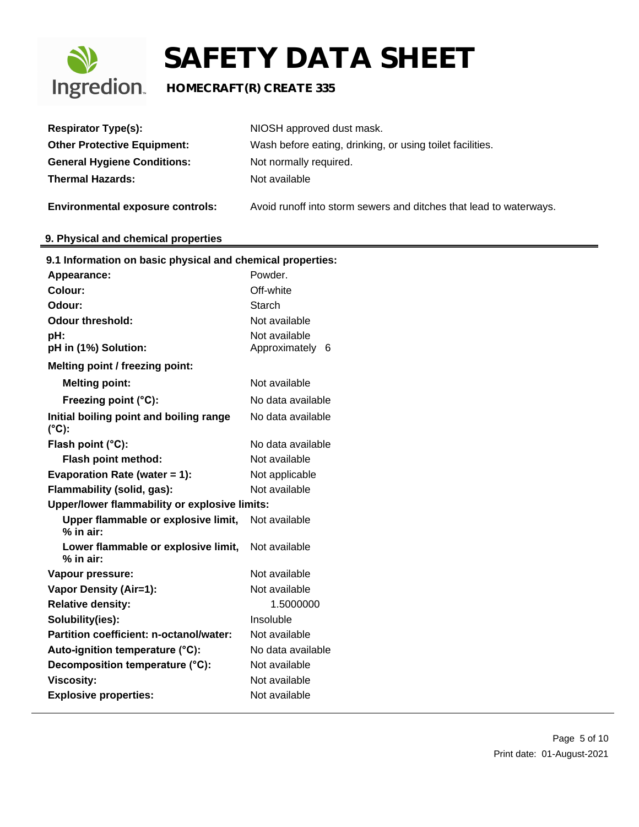

| <b>Respirator Type(s):</b>                                 | NIOSH approved dust mask.                                          |
|------------------------------------------------------------|--------------------------------------------------------------------|
| <b>Other Protective Equipment:</b>                         | Wash before eating, drinking, or using toilet facilities.          |
| <b>General Hygiene Conditions:</b>                         | Not normally required.                                             |
| <b>Thermal Hazards:</b>                                    | Not available                                                      |
| <b>Environmental exposure controls:</b>                    | Avoid runoff into storm sewers and ditches that lead to waterways. |
| 9. Physical and chemical properties                        |                                                                    |
| 9.1 Information on basic physical and chemical properties: |                                                                    |
| Appearance:                                                | Powder.                                                            |
| <b>Colour:</b>                                             | Off-white                                                          |
| Odour:                                                     | <b>Starch</b>                                                      |
| <b>Odour threshold:</b>                                    | Not available                                                      |
| pH:                                                        | Not available                                                      |
| pH in (1%) Solution:                                       | Approximately 6                                                    |
| Melting point / freezing point:                            |                                                                    |
| <b>Melting point:</b>                                      | Not available                                                      |
| Freezing point (°C):                                       | No data available                                                  |
| Initial boiling point and boiling range<br>$(^{\circ}C)$ : | No data available                                                  |
| Flash point (°C):                                          | No data available                                                  |
| Flash point method:                                        | Not available                                                      |
| Evaporation Rate (water $= 1$ ):                           | Not applicable                                                     |
| Flammability (solid, gas):                                 | Not available                                                      |
| Upper/lower flammability or explosive limits:              |                                                                    |
| Upper flammable or explosive limit,<br>% in air:           | Not available                                                      |
| Lower flammable or explosive limit,<br>$%$ in air:         | Not available                                                      |
| Vapour pressure:                                           | Not available                                                      |
| <b>Vapor Density (Air=1):</b>                              | Not available                                                      |
| <b>Relative density:</b>                                   | 1.5000000                                                          |
| Solubility(ies):                                           | Insoluble                                                          |
| Partition coefficient: n-octanol/water:                    | Not available                                                      |
| Auto-ignition temperature (°C):                            | No data available                                                  |
| Decomposition temperature (°C):                            | Not available                                                      |
| <b>Viscosity:</b>                                          | Not available                                                      |
| <b>Explosive properties:</b>                               | Not available                                                      |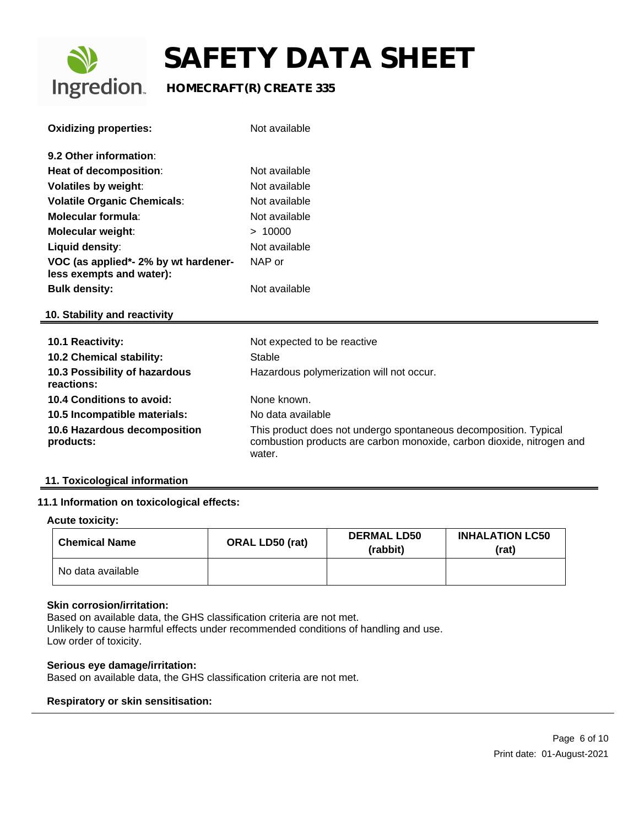

## **Ingredion** HOMECRAFT(R) CREATE 335

| <b>Oxidizing properties:</b>                                     | Not available                                                                                                                                       |
|------------------------------------------------------------------|-----------------------------------------------------------------------------------------------------------------------------------------------------|
| 9.2 Other information:                                           |                                                                                                                                                     |
| Heat of decomposition:                                           | Not available                                                                                                                                       |
| <b>Volatiles by weight:</b>                                      | Not available                                                                                                                                       |
| <b>Volatile Organic Chemicals:</b>                               | Not available                                                                                                                                       |
| Molecular formula:                                               | Not available                                                                                                                                       |
| <b>Molecular weight:</b>                                         | > 10000                                                                                                                                             |
| Liquid density:                                                  | Not available                                                                                                                                       |
| VOC (as applied*- 2% by wt hardener-<br>less exempts and water): | NAP or                                                                                                                                              |
| <b>Bulk density:</b>                                             | Not available                                                                                                                                       |
| 10. Stability and reactivity                                     |                                                                                                                                                     |
| <b>10.1 Reactivity:</b>                                          | Not expected to be reactive                                                                                                                         |
| 10.2 Chemical stability:                                         | Stable                                                                                                                                              |
| 10.3 Possibility of hazardous<br>reactions:                      | Hazardous polymerization will not occur.                                                                                                            |
| 10.4 Conditions to avoid:                                        | None known.                                                                                                                                         |
| 10.5 Incompatible materials:                                     | No data available                                                                                                                                   |
| 10.6 Hazardous decomposition<br>products:                        | This product does not undergo spontaneous decomposition. Typical<br>combustion products are carbon monoxide, carbon dioxide, nitrogen and<br>water. |

#### **11. Toxicological information**

#### **11.1 Information on toxicological effects:**

#### **Acute toxicity:**

| <b>Chemical Name</b> | <b>ORAL LD50 (rat)</b> | <b>DERMAL LD50</b><br>(rabbit) | <b>INHALATION LC50</b><br>(rat) |
|----------------------|------------------------|--------------------------------|---------------------------------|
| No data available    |                        |                                |                                 |

#### **Skin corrosion/irritation:**

Based on available data, the GHS classification criteria are not met. Unlikely to cause harmful effects under recommended conditions of handling and use. Low order of toxicity.

#### **Serious eye damage/irritation:**

Based on available data, the GHS classification criteria are not met.

#### **Respiratory or skin sensitisation:**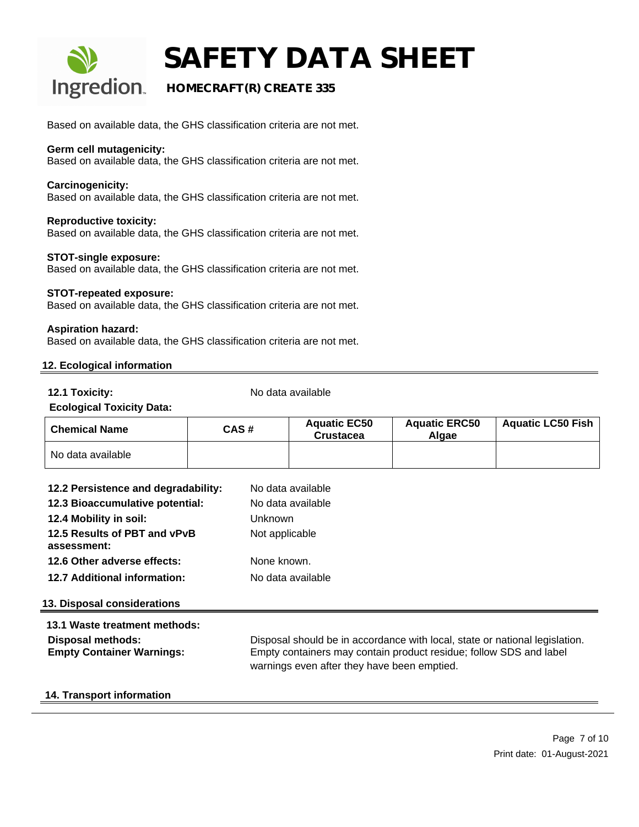

### **HOMECRAFT(R) CREATE 335**

Based on available data, the GHS classification criteria are not met.

#### **Germ cell mutagenicity:**

Based on available data, the GHS classification criteria are not met.

#### **Carcinogenicity:**

Based on available data, the GHS classification criteria are not met.

#### **Reproductive toxicity:**

Based on available data, the GHS classification criteria are not met.

#### **STOT-single exposure:**

Based on available data, the GHS classification criteria are not met.

#### **STOT-repeated exposure:**

Based on available data, the GHS classification criteria are not met.

#### **Aspiration hazard:**

Based on available data, the GHS classification criteria are not met.

#### **12. Ecological information**

**12.1 Toxicity:** No data available

#### **Ecological Toxicity Data:**

| <b>Chemical Name</b> | CAS# | <b>Aquatic EC50</b><br>Crustacea | <b>Aquatic ERC50</b><br>Alaae | <b>Aquatic LC50 Fish</b> |
|----------------------|------|----------------------------------|-------------------------------|--------------------------|
| No data available    |      |                                  |                               |                          |

| 12.2 Persistence and degradability:                   | No data available                                                                                                                                                                                |  |
|-------------------------------------------------------|--------------------------------------------------------------------------------------------------------------------------------------------------------------------------------------------------|--|
| 12.3 Bioaccumulative potential:                       | No data available                                                                                                                                                                                |  |
| 12.4 Mobility in soil:                                | <b>Unknown</b>                                                                                                                                                                                   |  |
| 12.5 Results of PBT and vPvB<br>assessment:           | Not applicable                                                                                                                                                                                   |  |
| 12.6 Other adverse effects:                           | None known.                                                                                                                                                                                      |  |
| <b>12.7 Additional information:</b>                   | No data available                                                                                                                                                                                |  |
| <b>13. Disposal considerations</b>                    |                                                                                                                                                                                                  |  |
| 13.1 Waste treatment methods:                         |                                                                                                                                                                                                  |  |
| Disposal methods:<br><b>Empty Container Warnings:</b> | Disposal should be in accordance with local, state or national legislation.<br>Empty containers may contain product residue; follow SDS and label<br>warnings even after they have been emptied. |  |
|                                                       |                                                                                                                                                                                                  |  |

#### **14. Transport information**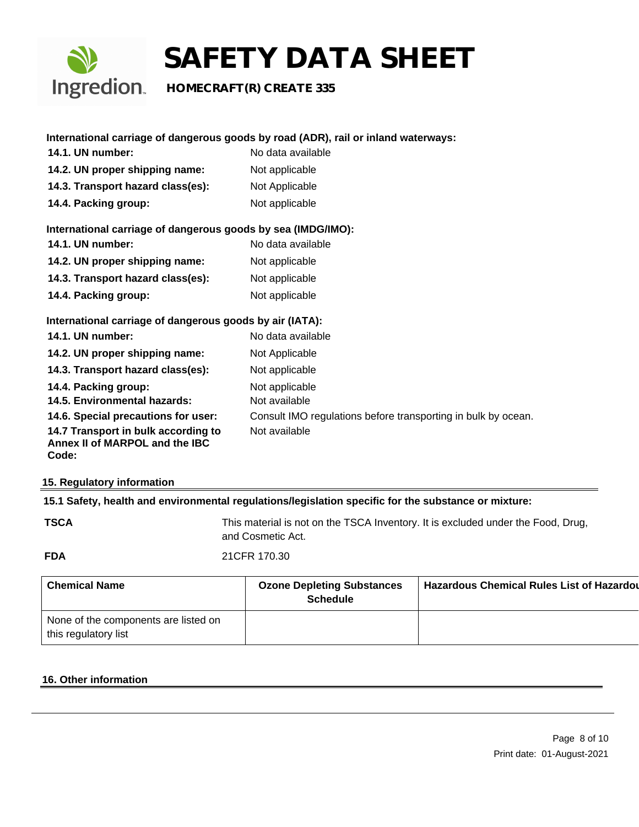

## **Ingredion** HOMECRAFT(R) CREATE 335

|                                                                                | International carriage of dangerous goods by road (ADR), rail or inland waterways: |
|--------------------------------------------------------------------------------|------------------------------------------------------------------------------------|
| <b>14.1. UN number:</b>                                                        | No data available                                                                  |
| 14.2. UN proper shipping name:                                                 | Not applicable                                                                     |
| 14.3. Transport hazard class(es):                                              | Not Applicable                                                                     |
| 14.4. Packing group:                                                           | Not applicable                                                                     |
| International carriage of dangerous goods by sea (IMDG/IMO):                   |                                                                                    |
| <b>14.1. UN number:</b>                                                        | No data available                                                                  |
| 14.2. UN proper shipping name:                                                 | Not applicable                                                                     |
| 14.3. Transport hazard class(es):                                              | Not applicable                                                                     |
| 14.4. Packing group:                                                           | Not applicable                                                                     |
| International carriage of dangerous goods by air (IATA):                       |                                                                                    |
| <b>14.1. UN number:</b>                                                        | No data available                                                                  |
| 14.2. UN proper shipping name:                                                 | Not Applicable                                                                     |
| 14.3. Transport hazard class(es):                                              | Not applicable                                                                     |
| 14.4. Packing group:                                                           | Not applicable                                                                     |
| 14.5. Environmental hazards:                                                   | Not available                                                                      |
| 14.6. Special precautions for user:                                            | Consult IMO regulations before transporting in bulk by ocean.                      |
| 14.7 Transport in bulk according to<br>Annex II of MARPOL and the IBC<br>Code: | Not available                                                                      |

#### **15. Regulatory information**

#### **15.1 Safety, health and environmental regulations/legislation specific for the substance or mixture:**

This material is not on the TSCA Inventory. It is excluded under the Food, Drug, and Cosmetic Act.

| <b>FDA</b> | 21CFR 170.30 |
|------------|--------------|
|            |              |

| <b>Chemical Name</b>                                         | <b>Ozone Depleting Substances</b><br><b>Schedule</b> | <b>Hazardous Chemical Rules List of Hazardou</b> |
|--------------------------------------------------------------|------------------------------------------------------|--------------------------------------------------|
| None of the components are listed on<br>this regulatory list |                                                      |                                                  |

#### **16. Other information**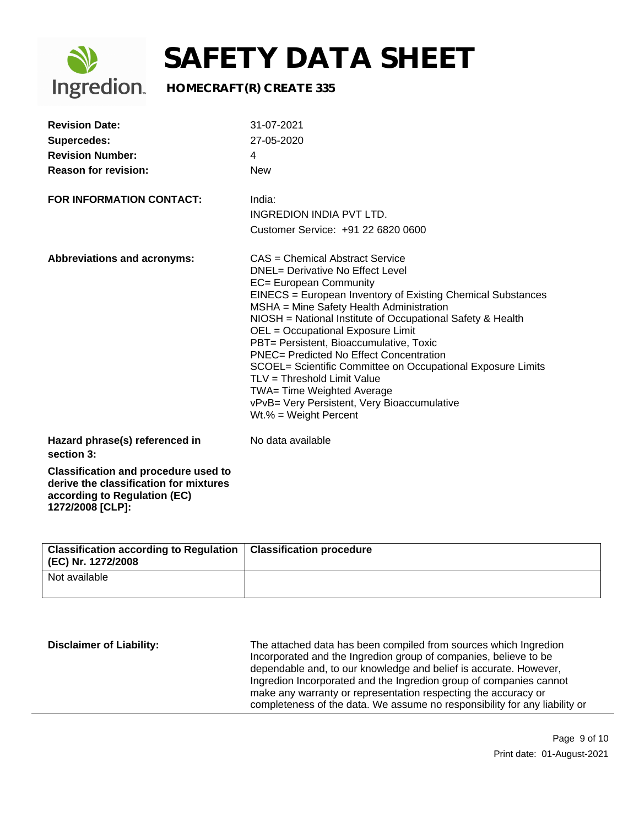

## **Ingredion** HOMECRAFT(R) CREATE 335

| <b>Revision Date:</b><br><b>Supercedes:</b><br><b>Revision Number:</b><br><b>Reason for revision:</b><br><b>FOR INFORMATION CONTACT:</b>                                                  | 31-07-2021<br>27-05-2020<br>4<br><b>New</b><br>India:                                                                                                                                                                                                                                                                                                                                                                                                                                                                                                                                                                  |
|-------------------------------------------------------------------------------------------------------------------------------------------------------------------------------------------|------------------------------------------------------------------------------------------------------------------------------------------------------------------------------------------------------------------------------------------------------------------------------------------------------------------------------------------------------------------------------------------------------------------------------------------------------------------------------------------------------------------------------------------------------------------------------------------------------------------------|
|                                                                                                                                                                                           | INGREDION INDIA PVT LTD.<br>Customer Service: +91 22 6820 0600                                                                                                                                                                                                                                                                                                                                                                                                                                                                                                                                                         |
| Abbreviations and acronyms:                                                                                                                                                               | CAS = Chemical Abstract Service<br><b>DNEL= Derivative No Effect Level</b><br>EC= European Community<br>EINECS = European Inventory of Existing Chemical Substances<br>MSHA = Mine Safety Health Administration<br>NIOSH = National Institute of Occupational Safety & Health<br>OEL = Occupational Exposure Limit<br>PBT= Persistent, Bioaccumulative, Toxic<br><b>PNEC= Predicted No Effect Concentration</b><br>SCOEL= Scientific Committee on Occupational Exposure Limits<br>TLV = Threshold Limit Value<br>TWA= Time Weighted Average<br>vPvB= Very Persistent, Very Bioaccumulative<br>$Wt.\% = Weight Percent$ |
| Hazard phrase(s) referenced in<br>section 3:<br><b>Classification and procedure used to</b><br>derive the classification for mixtures<br>according to Regulation (EC)<br>1272/2008 [CLP]: | No data available                                                                                                                                                                                                                                                                                                                                                                                                                                                                                                                                                                                                      |

| Classification according to Regulation   Classification procedure<br>(EC) Nr. 1272/2008 |  |
|-----------------------------------------------------------------------------------------|--|
| Not available                                                                           |  |

| <b>Disclaimer of Liability:</b> | The attached data has been compiled from sources which Ingredion<br>Incorporated and the Ingredion group of companies, believe to be<br>dependable and, to our knowledge and belief is accurate. However,<br>Ingredion Incorporated and the Ingredion group of companies cannot<br>make any warranty or representation respecting the accuracy or<br>completeness of the data. We assume no responsibility for any liability or |
|---------------------------------|---------------------------------------------------------------------------------------------------------------------------------------------------------------------------------------------------------------------------------------------------------------------------------------------------------------------------------------------------------------------------------------------------------------------------------|
|---------------------------------|---------------------------------------------------------------------------------------------------------------------------------------------------------------------------------------------------------------------------------------------------------------------------------------------------------------------------------------------------------------------------------------------------------------------------------|